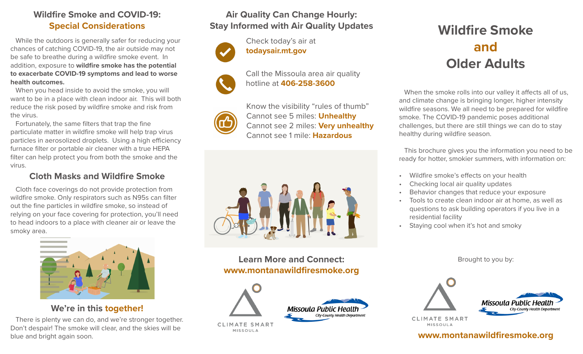#### **Wildfire Smoke and COVID-19: Special Considerations**

While the outdoors is generally safer for reducing your chances of catching COVID-19, the air outside may not be safe to breathe during a wildfire smoke event. In addition, exposure to **wildfire smoke has the potential to exacerbate COVID-19 symptoms and lead to worse health outcomes.**

When you head inside to avoid the smoke, you will want to be in a place with clean indoor air. This will both reduce the risk posed by wildfire smoke and risk from the virus.

Fortunately, the same filters that trap the fine particulate matter in wildfire smoke will help trap virus particles in aerosolized droplets. Using a high efficiency furnace filter or portable air cleaner with a true HEPA filter can help protect you from both the smoke and the virus.

#### **Cloth Masks and Wildfire Smoke**

Cloth face coverings do not provide protection from wildfire smoke. Only respirators such as N95s can filter out the fine particles in wildfire smoke, so instead of relying on your face covering for protection, you'll need to head indoors to a place with cleaner air or leave the smoky area.



**We're in this together!**

There is plenty we can do, and we're stronger together. Don't despair! The smoke will clear, and the skies will be blue and bright again soon.

### **Air Quality Can Change Hourly: Stay Informed with Air Quality Updates**

hotline at **406-258-3600**

Call the Missoula area air quality

Check today's air at **todaysair.mt.gov**



Know the visibility "rules of thumb" Cannot see 5 miles: **Unhealthy**  Cannot see 2 miles: **Very unhealthy** Cannot see 1 mile: **Hazardous**



**Learn More and Connect: www.montanawildfiresmoke.org**





**CLIMATE SMART** MISSOULA

# **Wildfire Smoke and Older Adults**

When the smoke rolls into our valley it affects all of us, and climate change is bringing longer, higher intensity wildfire seasons. We all need to be prepared for wildfire smoke. The COVID-19 pandemic poses additional challenges, but there are still things we can do to stay healthy during wildfire season.

This brochure gives you the information you need to be ready for hotter, smokier summers, with information on:

- Wildfire smoke's effects on your health
- Checking local air quality updates
- Behavior changes that reduce your exposure
- Tools to create clean indoor air at home, as well as questions to ask building operators if you live in a residential facility
- Staying cool when it's hot and smoky

Brought to you by:



**CLIMATE SMART** MISSOULA

**www.montanawildfiresmoke.org**